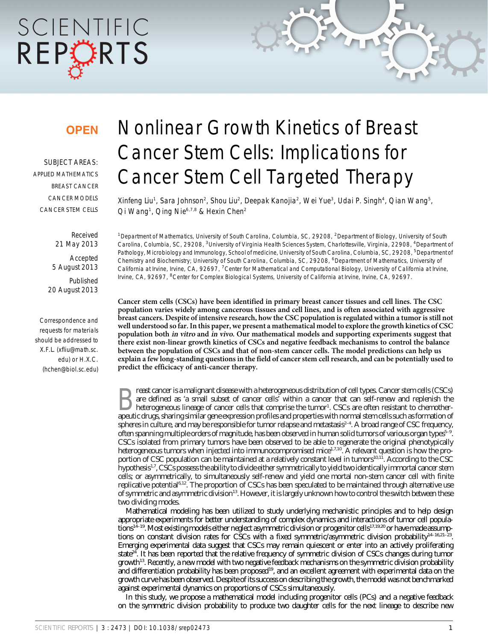# SCIENTIFIC REPCRTS

### **OPEN**

SUBJECT AREAS: APPLIED MATHEMATICS BREAST CANCER CANCER MODELS CANCER STEM CELLS

> Received 21 May 2013 Accepted 5 August 2013 Published 20 August 2013

Correspondence and requests for materials should be addressed to X.F.L. (xfliu@math.sc. edu) or H.X.C. (hchen@biol.sc.edu)

## Nonlinear Growth Kinetics of Breast Cancer Stem Cells: Implications for Cancer Stem Cell Targeted Therapy

Xinfeng Liu<sup>1</sup>, Sara Johnson<sup>2</sup>, Shou Liu<sup>2</sup>, Deepak Kanojia<sup>2</sup>, Wei Yue<sup>3</sup>, Udai P. Singh<sup>4</sup>, Qian Wang<sup>5</sup>, Qi Wang<sup>1</sup>, Qing Nie<sup>6,7,8</sup> & Hexin Chen<sup>2</sup>

<sup>1</sup>Department of Mathematics, University of South Carolina, Columbia, SC, 29208, <sup>2</sup>Department of Biology, University of South Carolina, Columbia, SC, 29208, <sup>3</sup>University of Virginia Health Sciences System, Charlottesville, Virginia, 22908, <sup>4</sup>Department of Pathology, Microbiology and Immunology, School of medicine, University of South Carolina, Columbia, SC, 29208, <sup>5</sup>Department of Chemistry and Biochemistry; University of South Carolina, Columbia, SC, 29208, <sup>6</sup>Department of Mathematics, University of California at Irvine, Irvine, CA, 92697, <sup>7</sup>Center for Mathematical and Computational Biology, University of California at Irvine, Irvine, CA, 92697, <sup>8</sup>Center for Complex Biological Systems, University of California at Irvine, Irvine, CA, 92697.

Cancer stem cells (CSCs) have been identified in primary breast cancer tissues and cell lines. The CSC population varies widely among cancerous tissues and cell lines, and is often associated with aggressive breast cancers. Despite of intensive research, how the CSC population is regulated within a tumor is still not well understood so far. In this paper, we present a mathematical model to explore the growth kinetics of CSC population both in vitro and in vivo. Our mathematical models and supporting experiments suggest that there exist non-linear growth kinetics of CSCs and negative feedback mechanisms to control the balance between the population of CSCs and that of non-stem cancer cells. The model predictions can help us explain a few long-standing questions in the field of cancer stem cell research, and can be potentially used to predict the efficicacy of anti-cancer therapy.

Exast cancer is a malignant disease with a heterogeneous distribution of cell types. Cancer stem cells (CSCs)<br>are defined as 'a small subset of cancer cells' within a cancer that can self-renew and replenish the<br>heterogene are defined as 'a small subset of cancer cells' within a cancer that can self-renew and replenish the heterogeneous lineage of cancer cells that comprise the tumor<sup>1</sup>. CSCs are often resistant to chemotherapeutic drugs, sharing similar gene expression profiles and properties with normal stem cells such as formation of spheres in culture, and may be responsible for tumor relapse and metastasis<sup>2-4</sup>. A broad range of CSC frequency, often spanning multiple orders of magnitude, has been observed in human solid tumors of various organ types<sup>5-9</sup>. CSCs isolated from primary tumors have been observed to be able to regenerate the original phenotypically heterogeneous tumors when injected into immunocompromised mice<sup>1,7,10</sup>. A relevant question is how the proportion of CSC population can be maintained at a relatively constant level in tumors<sup>10,11</sup>. According to the CSC hypothesis<sup>1,7</sup>, CSCs possess the ability to divide either symmetrically to yield two identically immortal cancer stem cells; or asymmetrically, to simultaneously self-renew and yield one mortal non-stem cancer cell with finite replicative potential6,12. The proportion of CSCs has been speculated to be maintained through alternative use of symmetric and asymmetric division<sup>13</sup>. However, it is largely unknown how to control the switch between these two dividing modes.

Mathematical modeling has been utilized to study underlying mechanistic principles and to help design appropriate experiments for better understanding of complex dynamics and interactions of tumor cell populations<sup>14–19</sup>. Most existing models either neglect asymmetric division or progenitor cells<sup>17,19,20</sup> or have made assumptions on constant division rates for CSCs with a fixed symmetric/asymmetric division probability<sup>14-16,21-23</sup>. Emerging experimental data suggest that CSCs may remain quiescent or enter into an actively proliferating state<sup>24</sup>. It has been reported that the relative frequency of symmetric division of CSCs changes during tumor growth13. Recently, a new model with two negative feedback mechanisms on the symmetric division probability and differentiation probability has been proposed<sup>19</sup>, and an excellent agreement with experimental data on the growth curve has been observed. Despite of its success on describing the growth, the model was not benchmarked against experimental dynamics on proportions of CSCs simultaneously.

In this study, we propose a mathematical model including progenitor cells (PCs) and a negative feedback on the symmetric division probability to produce two daughter cells for the next lineage to describe new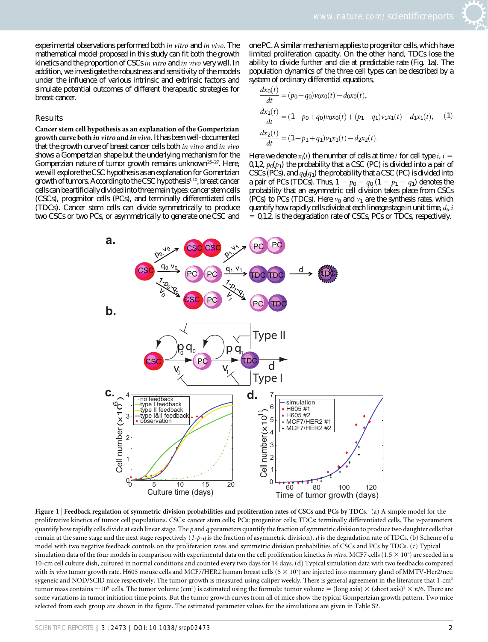experimental observations performed both in vitro and in vivo. The mathematical model proposed in this study can fit both the growth kinetics and the proportion of CSCs in vitro and in vivo very well. In addition, we investigate the robustness and sensitivity of the models under the influence of various intrinsic and extrinsic factors and simulate potential outcomes of different therapeutic strategies for breast cancer.

#### Results

Cancer stem cell hypothesis as an explanation of the Gompertzian growth curve both in vitro and in vivo.It has been well-documented that the growth curve of breast cancer cells both in vitro and in vivo shows a Gompertzian shape but the underlying mechanism for the Gomperzian nature of tumor growth remains unknown<sup>25-27</sup>. Here, we will explore the CSC hypothesis as an explanation for Gomertzian growth of tumors. According to the CSC hypothesis<sup>1,10</sup>, breast cancer cells can be artificially divided into three main types: cancer stem cells (CSCs), progenitor cells (PCs), and terminally differentiated cells (TDCs). Cancer stem cells can divide symmetrically to produce two CSCs or two PCs, or asymmetrically to generate one CSC and

one PC. A similar mechanism applies to progenitor cells, which have limited proliferation capacity. On the other hand, TDCs lose the ability to divide further and die at predictable rate (Fig. 1a). The population dynamics of the three cell types can be described by a system of ordinary differential equations,

$$
\frac{dx_0(t)}{dt} = (p_0 - q_0)v_0x_0(t) - d_0x_0(t),
$$
  
\n
$$
\frac{dx_1(t)}{dt} = (1 - p_0 + q_0)v_0x_0(t) + (p_1 - q_1)v_1x_1(t) - d_1x_1(t),
$$
 (1)  
\n
$$
\frac{dx_2(t)}{dt} = (1 - p_1 + q_1)v_1x_1(t) - d_2x_2(t).
$$

Here we denote  $x_i(t)$  the number of cells at time t for cell type i,  $i =$ 0,1,2,  $p_0(p_1)$  the probability that a CSC (PC) is divided into a pair of CSCs (PCs), and  $q_0(q_1)$  the probability that a CSC (PC) is divided into a pair of PCs (TDCs). Thus,  $1 - p_0 - q_0 (1 - p_1 - q_1)$  denotes the probability that an asymmetric cell division takes place from CSCs (PCs) to PCs (TDCs). Here  $v_0$  and  $v_1$  are the synthesis rates, which quantify how rapidly cells divide at each lineage stage in unit time,  $d_i$ , i  $= 0,1,2$ , is the degradation rate of CSCs, PCs or TDCs, respectively.



Figure 1 <sup>|</sup> Feedback regulation of symmetric division probabilities and proliferation rates of CSCs and PCs by TDCs. (a) A simple model for the proliferative kinetics of tumor cell populations. CSCs: cancer stem cells; PCs: progenitor cells; TDCs: terminally differentiated cells. The v-parameters quantify how rapidly cells divide at each linear stage. The p and q parameters quantify the fraction of symmetric division to produce two daughter cells that remain at the same stage and the next stage respectively  $(1-p-q)$  is the fraction of asymmetric division). d is the degradation rate of TDCs. (b) Scheme of a model with two negative feedback controls on the proliferation rates and symmetric division probabilities of CSCs and PCs by TDCs. (c) Typical simulation data of the four models in comparison with experimental data on the cell proliferation kinetics in vitro. MCF7 cells (1.5  $\times$  10<sup>5</sup>) are seeded in a 10-cm cell culture dish, cultured in normal conditions and counted every two days for 14 days. (d) Typical simulation data with two feedbacks compared with in vivo tumor growth rate. H605 mouse cells and MCF7/HER2 human breast cells  $(5 \times 10^5)$  are injected into mammary gland of MMTV-Her2/neu sygeneic and NOD/SCID mice respectively. The tumor growth is measured using caliper weekly. There is general agreement in the literature that 1 cm<sup>3</sup> tumor mass contains ~10° cells. The tumor volume (cm<sup>3</sup>) is estimated using the formula: tumor volume = (long axis)  $\times$  (short axis)<sup>2</sup>  $\times$   $\pi$ /6. There are some variations in tumor initiation time points. But the tumor growth curves from all of mice show the typical Gompertzian growth pattern. Two mice selected from each group are shown in the figure. The estimated parameter values for the simulations are given in Table S2.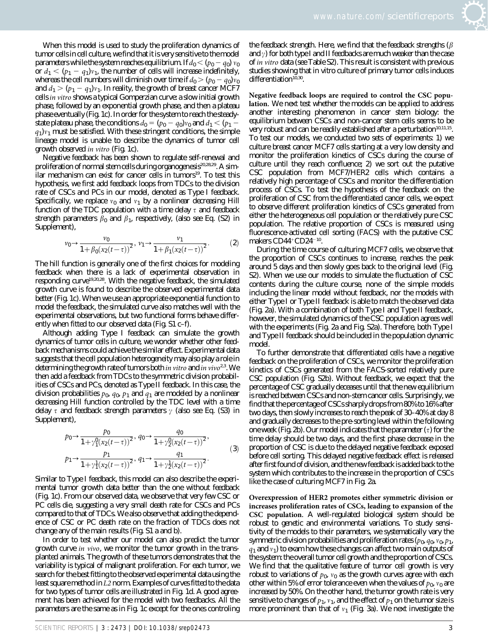When this model is used to study the proliferation dynamics of tumor cells in cell culture, we find that it is very sensitive to the model parameters while the system reaches equilibrium. If  $d_0 < (p_0 - q_0) v_0$ or  $d_1 < (p_1 - q_1)v_1$ , the number of cells will increase indefinitely, whereas the cell numbers will diminish over time if  $d_0 > (p_0 - q_0)v_0$ and  $d_1 > (p_1 - q_1)v_1$ . In reality, the growth of breast cancer MCF7 cells in vitro shows a typical Gomperzian curve: a slow initial growth phase, followed by an exponential growth phase, and then a plateau phase eventually (Fig. 1c). In order for the system to reach the steadystate plateau phase, the conditions  $d_0 = (p_0 - q_0)v_0$  and  $d_1 < (p_1 q_1$ ) $v_1$  must be satisfied. With these stringent conditions, the simple lineage model is unable to describe the dynamics of tumor cell growth observed in vitro (Fig. 1c).

Negative feedback has been shown to regulate self-renewal and proliferation of normal stem cells during organogenesis<sup>20,28,29</sup>. A similar mechanism can exist for cancer cells in tumors<sup>19</sup>. To test this hypothesis, we first add feedback loops from TDCs to the division rate of CSCs and PCs in our model, denoted as Type I feedback. Specifically, we replace  $v_0$  and  $v_1$  by a nonlinear decreasing Hill function of the TDC population with a time delay  $\tau$  and feedback strength parameters  $\beta_0$  and  $\beta_1$ , respectively, (also see Eq. (S2) in Supplement),

$$
v_0 \to \frac{v_0}{1 + \beta_0 (x_2(t-\tau))^2}, \ v_1 \to \frac{v_1}{1 + \beta_1 (x_2(t-\tau))^2}.
$$
 (2)

The hill function is generally one of the first choices for modeling feedback when there is a lack of experimental observation in responding curve<sup>19,20,28</sup>. With the negative feedback, the simulated growth curve is found to describe the observed experimental data better (Fig. 1c). When we use an appropriate exponential function to model the feedback, the simulated curve also matches well with the experimental observations, but two functional forms behave differently when fitted to our observed data (Fig. S1 c–f).

Although adding Type I feedback can simulate the growth dynamics of tumor cells in culture, we wonder whether other feedback mechanisms could achieve the similar effect. Experimental data suggests that the cell population heterogeneity may also play a role in determining the growth rate of tumors both *in vitro* and *in vivo*<sup>2,3</sup>. We then add a feedback from TDCs to the symmetric division probabilities of CSCs and PCs, denoted as Type II feedback. In this case, the division probabilities  $p_0$ ,  $q_0$ ,  $p_1$  and  $q_1$  are modeled by a nonlinear decreasing Hill function controlled by the TDC level with a time delay  $\tau$  and feedback strength parameters  $\gamma$  (also see Eq. (S3) in Supplement),

$$
p_0 \to \frac{p_0}{1 + \gamma_1^0 (x_2(t-\tau))^2}, q_0 \to \frac{q_0}{1 + \gamma_2^0 (x_2(t-\tau))^2},
$$
  
\n
$$
p_1 \to \frac{p_1}{1 + \gamma_1^1 (x_2(t-\tau))^2}, q_1 \to \frac{q_1}{1 + \gamma_2^1 (x_2(t-\tau))^2}.
$$
\n(3)

Similar to Type I feedback, this model can also describe the experimental tumor growth data better than the one without feedback (Fig. 1c). From our observed data, we observe that very few CSC or PC cells die, suggesting a very small death rate for CSCs and PCs compared to that of TDCs. We also observe that adding the dependence of CSC or PC death rate on the fraction of TDCs does not change any of the main results (Fig. S1 a and b).

In order to test whether our model can also predict the tumor growth curve in vivo, we monitor the tumor growth in the transplanted animals. The growth of these tumors demonstrates that the variability is typical of malignant proliferation. For each tumor, we search for the best fitting to the observed experimental data using the least square method in L2 norm. Examples of curves fitted to the data for two types of tumor cells are illustrated in Fig. 1d. A good agreement has been achieved for the model with two feedbacks. All the parameters are the same as in Fig. 1c except for the ones controling the feedback strength. Here, we find that the feedback strengths ( $\beta$ and  $\gamma$ ) for both type I and II feedbacks are much weaker than the case of in vitro data (see Table S2). This result is consistent with previous studies showing that in vitro culture of primary tumor cells induces differentiation<sup>10,30</sup>.

Negative feedback loops are required to control the CSC population. We next test whether the models can be applied to address another interesting phenomenon in cancer stem biology: the equilibrium between CSCs and non-cancer stem cells seems to be very robust and can be readily established after a perturbation<sup>10,11,15</sup>. To test our models, we conducted two sets of experiments: 1) we culture breast cancer MCF7 cells starting at a very low density and monitor the proliferation kinetics of CSCs during the course of culture until they reach confluence; 2) we sort out the putative CSC population from MCF7/HER2 cells which contains a relatively high percentage of CSCs and monitor the differentiation process of CSCs. To test the hypothesis of the feedback on the proliferation of CSC from the differentiated cancer cells, we expect to observe different proliferation kinetics of CSCs generated from either the heterogeneous cell population or the relatively pure CSC population. The relative proportion of CSCs is measured using fluorescence-activated cell sorting (FACS) with the putative CSC makers  $CD44^+CD24^{-10}$ .

During the time course of culturing MCF7 cells, we observe that the proportion of CSCs continues to increase, reaches the peak around 5 days and then slowly goes back to the original level (Fig. S2). When we use our models to simulate the fluctuation of CSC contents during the culture course, none of the simple models including the linear model without feedback, nor the models with either Type I or Type II feedback is able to match the observed data (Fig. 2a). With a combination of both Type I and Type II feedback, however, the simulated dynamics of the CSC population agrees well with the experiments (Fig. 2a and Fig. S2a). Therefore, both Type I and Type II feedback should be included in the population dynamic model.

To further demonstrate that differentiated cells have a negative feedback on the proliferation of CSCs, we monitor the proliferation kinetics of CSCs generated from the FACS-sorted relatively pure CSC population (Fig. S2b). Without feedback, we expect that the percentage of CSC gradually deceases until that the new equilibrium is reached between CSCs and non-stem cancer cells. Surprisingly, we find that the percentage of CSCs sharply drops from 80% to 16% after two days, then slowly increases to reach the peak of 30–40% at day 8 and gradually decreases to the pre-sorting level within the following one week (Fig. 2b). Our model indicates that the parameter  $(\tau)$  for the time delay should be two days, and the first phase decrease in the proportion of CSC is due to the delayed negative feedback exposed before cell sorting. This delayed negative feedback effect is released after first found of division, and the new feedback is added back to the system which contributes to the increase in the proportion of CSCs like the case of culturing MCF7 in Fig. 2a.

Overexpression of HER2 promotes either symmetric division or increases proliferation rates of CSCs, leading to expansion of the CSC population. A well-regulated biological system should be robust to genetic and environmental variations. To study sensitivity of the models to their parameters, we systematically vary the symmetric division probabilities and proliferation rates ( $p_0$ ,  $q_0$ ,  $v_0$ ,  $p_1$ ,  $q_1$  and  $v_1$ ) to exam how these changes can affect two main outputs of the system: the overall tumor cell growth and the proportion of CSCs. We find that the qualitative feature of tumor cell growth is very robust to variations of  $p_0$ ,  $v_0$  as the growth curves agree with each other within 5% of error tolerance even when the values of  $p_0$ ,  $v_0$  are increased by 50%. On the other hand, the tumor growth rate is very sensitive to changes of  $p_1$ ,  $v_1$ , and the effect of  $p_1$  on the tumor size is more prominent than that of  $v_1$  (Fig. 3a). We next investigate the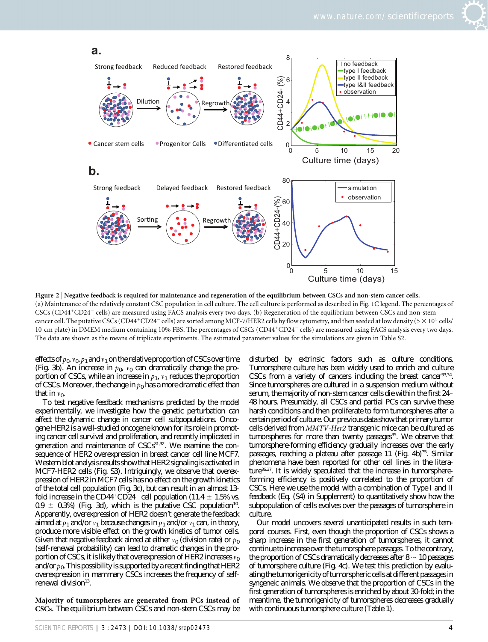



Figure 2 | Negative feedback is required for maintenance and regeneration of the equilibrium between CSCs and non-stem cancer cells. (a) Maintenance of the relatively constant CSC population in cell culture. The cell culture is performed as described in Fig. 1C legend. The percentages of CSCs (CD44<sup>+</sup>CD24<sup>-</sup> cells) are measured using FACS analysis every two days. (b) Regeneration of the equilibrium between CSCs and non-stem cancer cell. The putative CSCs (CD44<sup>+</sup>CD24<sup>-</sup> cells) are sorted among MCF-7/HER2 cells by flow cytometry, and then seeded at low density ( $5 \times 10^4$  cells/ 10 cm plate) in DMEM medium containing 10% FBS. The percentages of CSCs (CD44+CD24-cells) are measured using FACS analysis every two days. The data are shown as the means of triplicate experiments. The estimated parameter values for the simulations are given in Table S2.

effects of  $p_0$ ,  $v_0$ ,  $p_1$  and  $v_1$  on the relative proportion of CSCs over time (Fig. 3b). An increase in  $p_0$ ,  $v_0$  can dramatically change the proportion of CSCs, while an increase in  $p_1$ ,  $v_1$  reduces the proportion of CSCs. Moreover, the change in  $p_0$  has a more dramatic effect than that in  $v_0$ .

To test negative feedback mechanisms predicted by the model experimentally, we investigate how the genetic perturbation can affect the dynamic change in cancer cell subpopulations. Oncogene HER2 is a well-studied oncogene known for its role in promoting cancer cell survival and proliferation, and recently implicated in generation and maintenance of CSCs<sup>31,32</sup>. We examine the consequence of HER2 overexpression in breast cancer cell line MCF7. Western blot analysis results show that HER2 signaling is activated in MCF7-HER2 cells (Fig. S3). Intriguingly, we observe that overexpression of HER2 in MCF7 cells has no effect on the growth kinetics of the total cell population (Fig. 3c), but can result in an almost 13 fold increase in the CD44+CD24<sup>-</sup> cell population (11.4  $\pm$  1.5% vs.  $0.9 \pm 0.3$ %) (Fig. 3d), which is the putative CSC population<sup>10</sup>. Apparently, overexpression of HER2 doesn't generate the feedback aimed at  $p_1$  and/or  $v_1$  because changes in  $p_1$  and/or  $v_1$  can, in theory, produce more visible effect on the growth kinetics of tumor cells. Given that negative feedback aimed at either  $v_0$  (division rate) or  $p_0$ (self-renewal probability) can lead to dramatic changes in the proportion of CSCs, it is likely that overexpression of HER2 increases  $v_0$ and/or  $p_0$ . This possibility is supported by a recent finding that HER2 overexpression in mammary CSCs increases the frequency of selfrenewal division $13$ .

Majority of tumorspheres are generated from PCs instead of CSCs. The equilibrium between CSCs and non-stem CSCs may be

disturbed by extrinsic factors such as culture conditions. Tumorsphere culture has been widely used to enrich and culture CSCs from a variety of cancers including the breast cancer<sup>33,34</sup>. Since tumorspheres are cultured in a suspension medium without serum, the majority of non-stem cancer cells die within the first 24– 48 hours. Presumably, all CSCs and partial PCs can survive these harsh conditions and then proliferate to form tumorspheres after a certain period of culture. Our previous data show that primary tumor cells derived from MMTV-Her2 transgenic mice can be cultured as tumorspheres for more than twenty passages<sup>35</sup>. We observe that tumorsphere-forming efficiency gradually increases over the early passages, reaching a plateau after passage 11 (Fig. 4b)<sup>35</sup>. Similar phenomena have been reported for other cell lines in the literature36,37. It is widely speculated that the increase in tumorsphereforming efficiency is positively correlated to the proportion of CSCs. Here we use the model with a combination of Type I and II feedback (Eq. (S4) in Supplement) to quantitatively show how the subpopulation of cells evolves over the passages of tumorsphere in culture.

Our model uncovers several unanticipated results in such temporal courses. First, even though the proportion of CSCs shows a sharp increase in the first generation of tumorspheres, it cannot continue to increase over the tumorsphere passages. To the contrary, the proportion of CSCs dramatically decreases after  $8 \sim 10$  passages of tumorsphere culture (Fig. 4c). We test this prediction by evaluating the tumorigenicity of tumorspheric cells at different passages in syngeneic animals. We observe that the proportion of CSCs in the first generation of tumorspheres is enriched by about 30-fold; in the meantime, the tumorigenicity of tumorspheres decreases gradually with continuous tumorsphere culture (Table 1).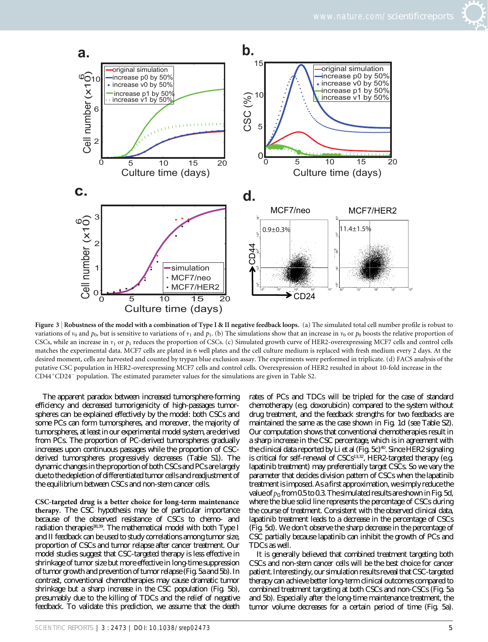



Figure 3 <sup>|</sup> Robustness of the model with a combination of Type I & II negative feedback loops. (a) The simulated total cell number profile is robust to variations of  $v_0$  and  $p_0$ , but is sensitive to variations of  $v_1$  and  $p_1$ . (b) The simulations show that an increase in  $v_0$  or  $p_0$  boosts the relative proportion of CSCs, while an increase in  $v_1$  or  $p_1$  reduces the proportion of CSCs. (c) Simulated growth curve of HER2-overexpressing MCF7 cells and control cells matches the experimental data. MCF7 cells are plated in 6 well plates and the cell culture medium is replaced with fresh medium every 2 days. At the desired moment, cells are harvested and counted by trypan blue exclusion assay. The experiments were performed in triplicate. (d) FACS analysis of the putative CSC population in HER2-overexpressing MCF7 cells and control cells. Overexpression of HER2 resulted in about 10-fold increase in the  $CD44^+CD24^-$  population. The estimated parameter values for the simulations are given in Table S2.

The apparent paradox between increased tumorsphere-forming efficiency and decreased tumorigenicity of high-passages tumorspheres can be explained effectively by the model: both CSCs and some PCs can form tumorspheres, and moreover, the majority of tumorspheres, at least in our experimental model system, are derived from PCs. The proportion of PC-derived tumorspheres gradually increases upon continuous passages while the proportion of CSCderived tumorspheres progressively decreases (Table S1). The dynamic changes in the proportion of both CSCs and PCs are largely due to the depletion of differentiated tumor cells and readjustment of the equilibrium between CSCs and non-stem cancer cells.

CSC-targeted drug is a better choice for long-term maintenance therapy. The CSC hypothesis may be of particular importance because of the observed resistance of CSCs to chemo- and radiation therapies<sup>38,39</sup>. The mathematical model with both Type I and II feedback can be used to study correlations among tumor size, proportion of CSCs and tumor relapse after cancer treatment. Our model studies suggest that CSC-targeted therapy is less effective in shrinkage of tumor size but more effective in long-time suppression of tumor growth and prevention of tumor relapse (Fig. 5a and 5b). In contrast, conventional chemotherapies may cause dramatic tumor shrinkage but a sharp increase in the CSC population (Fig. 5b), presumably due to the killing of TDCs and the relief of negative feedback. To validate this prediction, we assume that the death

rates of PCs and TDCs will be tripled for the case of standard chemotherapy (e.g. doxorubicin) compared to the system without drug treatment, and the feedback strengths for two feedbacks are maintained the same as the case shown in Fig. 1d (see Table S2). Our computation shows that conventional chemotherapies result in a sharp increase in the CSC percentage, which is in agreement with the clinical data reported by Li et al (Fig. 5c)<sup>40</sup>. Since HER2 signaling is critical for self-renewal of  $CSCs<sup>13,32</sup>$ , HER2-targeted therapy (e.g. lapatinib treatment) may preferentially target CSCs. So we vary the parameter that decides division pattern of CSCs when the lapatinib treatment is imposed. As a first approximation, we simply reduce the value of  $p_0$  from 0.5 to 0.3. The simulated results are shown in Fig. 5d, where the blue solid line represents the percentage of CSCs during the course of treatment. Consistent with the observed clinical data, lapatinib treatment leads to a decrease in the percentage of CSCs (Fig. 5d). We don't observe the sharp decrease in the percentage of CSC partially because lapatinib can inhibit the growth of PCs and TDCs as well.

It is generally believed that combined treatment targeting both CSCs and non-stem cancer cells will be the best choice for cancer patient. Interestingly, our simulation results reveal that CSC-targeted therapy can achieve better long-term clinical outcomes compared to combined treatment targeting at both CSCs and non-CSCs (Fig. 5a and 5b). Especially after the long-time maintenance treatment, the tumor volume decreases for a certain period of time (Fig. 5a).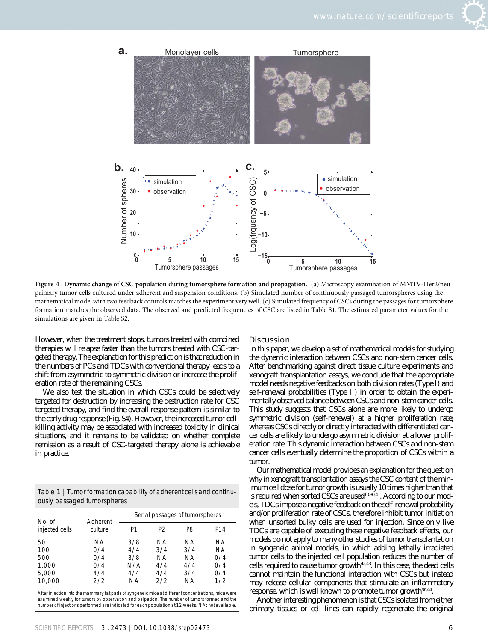



Figure 4 <sup>|</sup> Dynamic change of CSC population during tumorsphere formation and propagation. (a) Microscopy examination of MMTV-Her2/neu primary tumor cells cultured under adherent and suspension conditions. (b) Simulated number of continuously passaged tumorspheres using the mathematical model with two feedback controls matches the experiment very well. (c) Simulated frequency of CSCs during the passages for tumorsphere formation matches the observed data. The observed and predicted frequencies of CSC are listed in Table S1. The estimated parameter values for the simulations are given in Table S2.

However, when the treatment stops, tumors treated with combined therapies will relapse faster than the tumors treated with CSC-targeted therapy. The explanation for this prediction is that reduction in the numbers of PCs and TDCs with conventional therapy leads to a shift from asymmetric to symmetric division or increase the proliferation rate of the remaining CSCs.

We also test the situation in which CSCs could be selectively targeted for destruction by increasing the destruction rate for CSC targeted therapy, and find the overall response pattern is similar to the early drug response (Fig. S4). However, the increased tumor cellkilling activity may be associated with increased toxicity in clinical situations, and it remains to be validated on whether complete remission as a result of CSC-targeted therapy alone is achievable in practice.

Table 1 <sup>|</sup> Tumor formation capability of adherent cells and continuously passaged tumorspheres

| No. of<br>injected cells | Adherent<br>culture | Serial passages of tumorspheres |                |     |                 |
|--------------------------|---------------------|---------------------------------|----------------|-----|-----------------|
|                          |                     | P1                              | P <sub>2</sub> | P8  | P <sub>14</sub> |
| 50                       | ΝA                  | 3/8                             | ΝA             | NA. | ΝA              |
| 100                      | 0/4                 | 4/4                             | 3/4            | 3/4 | ΝA              |
| 500                      | 0/4                 | 8/8                             | ΝA             | NA. | 0/4             |
| 1,000                    | 0/4                 | N/A                             | 4/4            | 4/4 | 0/4             |
| 5,000                    | 4/4                 | 4/4                             | 4/4            | 3/4 | 0/4             |
| 10,000                   | 2/2                 | ΝA                              | 2/2            | NA. | 1/2             |

After injection into the mammary fat pads of syngeneic mice at different concentrations, mice were examined weekly for tumors by observation and palpation. The number of tumors formed and the number of injections performed are indicated for each population at 12 weeks. NA: not available.

#### Discussion

In this paper, we develop a set of mathematical models for studying the dynamic interaction between CSCs and non-stem cancer cells. After benchmarking against direct tissue culture experiments and xenograft transplantation assays, we conclude that the appropriate model needs negative feedbacks on both division rates (Type I) and self-renewal probabilities (Type II) in order to obtain the experimentally observed balance between CSCs and non-stem cancer cells. This study suggests that CSCs alone are more likely to undergo symmetric division (self-renewal) at a higher proliferation rate; whereas CSCs directly or directly interacted with differentiated cancer cells are likely to undergo asymmetric division at a lower proliferation rate. This dynamic interaction between CSCs and non-stem cancer cells eventually determine the proportion of CSCs within a tumor.

Our mathematical model provides an explanation for the question why in xenograft transplantation assays the CSC content of the minimum cell dose for tumor growth is usually 10 times higher than that is required when sorted CSCs are used<sup>10,30,41</sup>. According to our models, TDCs impose a negative feedback on the self-renewal probability and/or proliferation rate of CSCs, therefore inhibit tumor initiation when unsorted bulky cells are used for injection. Since only live TDCs are capable of executing these negative feedback effects, our models do not apply to many other studies of tumor transplantation in syngeneic animal models, in which adding lethally irradiated tumor cells to the injected cell population reduces the number of cells required to cause tumor growth<sup>42,43</sup>. In this case, the dead cells cannot maintain the functional interaction with CSCs but instead may release cellular components that stimulate an inflammatory response, which is well known to promote tumor growth<sup>36,44</sup>.

Another interesting phenomenon is that CSCs isolated from either primary tissues or cell lines can rapidly regenerate the original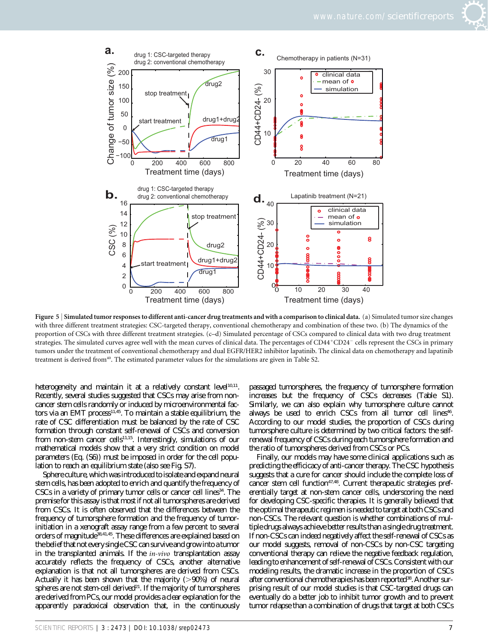



Figure 5 | Simulated tumor responses to different anti-cancer drug treatments and with a comparison to clinical data. (a) Simulated tumor size changes with three different treatment strategies: CSC-targeted therapy, conventional chemotherapy and combination of these two. (b) The dynamics of the proportion of CSCs with three different treatment strategies. (c–d) Simulated percentage of CSCs compared to clinical data with two drug treatment strategies. The simulated curves agree well with the mean curves of clinical data. The percentages of CD44+CD24<sup>-</sup> cells represent the CSCs in primary tumors under the treatment of conventional chemotherapy and dual EGFR/HER2 inhibitor lapatinib. The clinical data on chemotherapy and lapatinib treatment is derived from40. The estimated parameter values for the simulations are given in Table S2.

heterogeneity and maintain it at a relatively constant level $10,11$ . Recently, several studies suggested that CSCs may arise from noncancer stem cells randomly or induced by microenvironmental factors via an EMT process<sup>11,45</sup>. To maintain a stable equilibrium, the rate of CSC differentiation must be balanced by the rate of CSC formation through constant self-renewal of CSCs and conversion from non-stem cancer cells<sup>11,15</sup>. Interestingly, simulations of our mathematical models show that a very strict condition on model parameters (Eq. (S6)) must be imposed in order for the cell population to reach an equilibrium state (also see Fig. S7).

Sphere culture, which was introduced to isolate and expand neural stem cells, has been adopted to enrich and quantify the frequency of  $CSCs$  in a variety of primary tumor cells or cancer cell lines<sup>34</sup>. The premise for this assay is that most if not all tumorspheres are derived from CSCs. It is often observed that the differences between the frequency of tumorsphere formation and the frequency of tumorinitiation in a xenograft assay range from a few percent to several orders of magnitude<sup>38,41,45</sup>. These differences are explained based on the belief that not every single CSC can survive and grow into a tumor in the transplanted animals. If the in-vivo transplantation assay accurately reflects the frequency of CSCs, another alternative explanation is that not all tumorspheres are derived from CSCs. Actually it has been shown that the majority  $(>90%)$  of neural spheres are not stem-cell derived<sup>21</sup>. If the majority of tumorspheres are derived from PCs, our model provides a clear explanation for the apparently paradoxical observation that, in the continuously

passaged tumorspheres, the frequency of tumorsphere formation increases but the frequency of CSCs decreases (Table S1). Similarly, we can also explain why tumorsphere culture cannot always be used to enrich CSCs from all tumor cell lines<sup>46</sup>. According to our model studies, the proportion of CSCs during tumorsphere culture is determined by two critical factors: the selfrenewal frequency of CSCs during each tumorsphere formation and the ratio of tumorspheres derived from CSCs or PCs.

Finally, our models may have some clinical applications such as predicting the efficicacy of anti-cancer therapy. The CSC hypothesis suggests that a cure for cancer should include the complete loss of cancer stem cell function<sup>47,48</sup>. Current therapeutic strategies preferentially target at non-stem cancer cells, underscoring the need for developing CSC-specific therapies. It is generally believed that the optimal therapeutic regimen is needed to target at both CSCs and non-CSCs. The relevant question is whether combinations of multiple drugs always achieve better results than a single drug treatment. If non-CSCs can indeed negatively affect the self-renewal of CSCs as our model suggests, removal of non-CSCs by non-CSC targeting conventional therapy can relieve the negative feedback regulation, leading to enhancement of self-renewal of CSCs. Consistent with our modeling results, the dramatic increase in the proportion of CSCs after conventional chemotherapies has been reported<sup>38</sup>. Another surprising result of our model studies is that CSC-targeted drugs can eventually do a better job to inhibit tumor growth and to prevent tumor relapse than a combination of drugs that target at both CSCs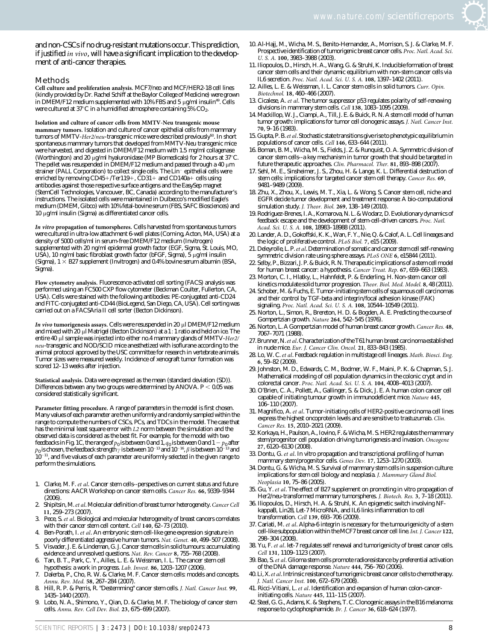and non-CSCs if no drug-resistant mutations occur. This prediction, if justified in vivo, will have a significant implication to the development of anti-cancer therapies.

#### Methods

Cell culture and proliferation analysis. MCF7/neo and MCF/HER2-18 cell lines (kindly provided by Dr. Rachel Schiff at the Baylor College of Medicine) were grown in DMEM/F12 medium supplemented with  $10\%$  FBS and 5 µg/ml insulin<sup>49</sup>. Cells were cultured at 37 $\mathrm{C}$  in a humidified atmosphere containing 5%  $\mathrm{CO}_2$ .

Isolation and culture of cancer cells from MMTV-Neu transgenic mouse mammary tumors. Isolation and culture of cancer epithelial cells from mammary tumors of MMTV-Her2/neu-transgenic mice were described previously<sup>50</sup>. In short spontaneous mammary tumors that developed from MMTV-Neu transgenic mice were harvested, and digested in DMEM/F12 medium with 1.5 mg/ml collagenase (Worthington) and 20  $\mu$ g/ml hyaluronidase (MP Biomedicals) for 2 hours at 37°C. The pellet was resuspended in  $\text{DMEM/F12}$  medium and passed through a 40  $\mu$ m strainer (PALL Corporation) to collect single cells. The Lin<sup>-</sup> epithelial cells were enriched by removing  $CD45+/Ter119+$ ,  $CD31+$  and  $CD140a+$  cells using antibodies against those respective surface antigens and the EasySep magnet (StemCell Technologies, Vancouver, BC, Canada) according to the manufacturer's instructions. The isolated cells were maintained in Dulbecco's modified Eagle's medium (DMEM, Gibco) with 10% fetal-bovine serum (FBS, SAFC Biosciences) and 10 mg/ml insulin (Sigma) as differentiated cancer cells.

In vitro propagation of tumorspheres. Cells harvested from spontaneous tumors were cultured in ultra-low attachment 6-well plates (Corning, Acton, MA, USA) at a density of 5000 cells/ml in serum-free DMEM/F12 medium (Invitrogen) supplemented with 20 ng/ml epidermal growth factor (EGF, Sigma, St. Louis, MO, USA), 10 ng/ml basic fibroblast growth factor (bFGF, Sigma),  $5 \mu$ g/ml insulin (Sigma),  $1 \times B27$  supplement (Invitrogen) and 0.4% bovine serum albumin (BSA, Sigma).

Flow cytometry analysis. Fluorescence-activated cell sorting (FACS) analysis was performed using an FC500 CXP flow cytometer (Beckman Coulter, Fullerton, CA, USA). Cells were stained with the following antibodies: PE-conjugated anti-CD24 and FITC-conjugated anti-CD44 (BioLegend, San Diego, CA, USA). Cell sorting was carried out on a FACSAria II cell sorter (Becton Dickinson).

In vivo tumorigenesis assays. Cells were resuspended in 20  $\mu$ l DMEM/F12 medium and mixed with 20  $\mu$ l Matrigel (Becton Dickinson) at a 1:1 ratio and held on ice. The entire 40 µl sample was injected into either no.4 mammary glands of MMTV-Her2/ neu-transgenic and NOD/SCID mice anesthetized with isoflurane according to the animal protocol approved by the USC committee for research in vertebrate animals. Tumor sizes were measured weekly. Incidence of xenograft tumor formation was scored 12–13 weeks after injection.

Statistical analysis. Data were expressed as the mean (standard deviation (SD)). Differences between any two groups were determined by ANOVA.  $P < 0.05$  was considered statistically significant.

Parameter fitting procedure. A range of parameters in the model is first chosen. Many values of each parameter are then uniformly and randomly sampled within the range to compute the numbers of CSCs, PCs, and TDCs in the model. The case that has the minimal least square error with L2 norm between the simulation and the observed data is considered as the best fit. For example, for the model with two feedbacks in Fig. 1C, the range of  $p_0$  is between 0 and 1,  $q_0$  is between 0 and 1 -  $p_0$  after  $p_0$  is chosen, the feedback strength  $\gamma$  is between 10<sup>-13</sup> and 10<sup>-16</sup>,  $\beta$  is between 10<sup>-13</sup> and  $10^{-11}$ , and five values of each parameter are uniformly selected in the given range to perform the simulations.

- 1. Clarke, M. F. et al. Cancer stem cells--perspectives on current status and future directions: AACR Workshop on cancer stem cells. Cancer Res. 66, 9339–9344 (2006).
- 2. Shipitsin, M.et al. Molecular definition of breast tumor heterogeneity. Cancer Cell 11, 259–273 (2007).
- 3. Pece, S. et al. Biological and molecular heterogeneity of breast cancers correlates with their cancer stem cell content. Cell 140,  $62-73$  (2010).
- 4. Ben-Porath, I. et al. An embryonic stem cell-like gene expression signature in poorly differentiated aggressive human tumors. Nat. Genet. 40, 499–507 (2008).
- 5. Visvader, J. E. & Lindeman, G. J. Cancer stem cells in solid tumours: accumulating evidence and unresolved questions. Nat. Rev. Cancer 8, 755-768 (2008)
- 6. Tan, B. T., Park, C. Y., Ailles, L. E. & Weissman, I. L. The cancer stem cell hypothesis: a work in progress. Lab. Invest. 86, 1203–1207 (2006).
- 7. Dalerba, P., Cho, R. W. & Clarke, M. F. Cancer stem cells: models and concepts. Annu. Rev. Med. 58, 267-284 (2007).
- 8. Hill, R. P. & Perris, R. "Destemming" cancer stem cells. J. Natl. Cancer Inst. 99, 1435–1440 (2007).
- Lobo, N. A., Shimono, Y., Qian, D. & Clarke, M. F. The biology of cancer stem cells. Annu. Rev. Cell Dev. Biol. 23, 675–699 (2007).
- 10. Al-Hajj, M., Wicha, M. S., Benito-Hernandez, A., Morrison, S. J. & Clarke, M. F. Prospective identification of tumorigenic breast cancer cells. Proc. Natl. Acad. Sci. U. S. A. 100, 3983–3988 (2003).
- 11. Iliopoulos, D., Hirsch, H. A., Wang, G. & Struhl, K. Inducible formation of breast cancer stem cells and their dynamic equilibrium with non-stem cancer cells via IL6 secretion. Proc. Natl. Acad. Sci. U. S. A. 108, 1397–1402 (2011).
- 12. Ailles, L. E. & Weissman, I. L. Cancer stem cells in solid tumors. Curr. Opin. Biotechnol. 18, 460–466 (2007).
- 13. Cicalese, A. et al. The tumor suppressor p53 regulates polarity of self-renewing divisions in mammary stem cells. Cell 138, 1083–1095 (2009).
- 14. Mackillop, W. J., Ciampi, A., Till, J. E. & Buick, R. N. A stem cell model of human tumor growth: implications for tumor cell clonogenic assays. J. Natl. Cancer Inst. 70, 9–16 (1983).
- 15. Gupta, P. B.et al. Stochastic state transitions give rise to phenotypic equilibrium in populations of cancer cells. Cell 146, 633-644 (2011).
- 16. Boman, B. M., Wicha, M. S., Fields, J. Z. & Runquist, O. A. Symmetric division of cancer stem cells--a key mechanism in tumor growth that should be targeted in future therapeutic approaches. Clin. Pharmacol. Ther. 81, 893–898 (2007).
- 17. Sehl, M. E., Sinsheimer, J. S., Zhou, H. & Lange, K. L. Differential destruction of stem cells: implications for targeted cancer stem cell therapy. Cancer Res. 69, 9481–9489 (2009).
- 18. Zhu, X., Zhou, X., Lewis, M. T., Xia, L. & Wong, S. Cancer stem cell, niche and EGFR decide tumor development and treatment response: A bio-computational simulation study. J. Theor. Biol. 269, 138–149 (2010).
- 19. Rodriguez-Brenes, I. A., Komarova, N. L. & Wodarz, D. Evolutionary dynamics of feedback escape and the development of stem-cell-driven cancers. Proc. Natl. Acad. Sci. U. S. A. 108, 18983–18988 (2011).
- 20. Lander, A. D., Gokoffski, K. K., Wan, F. Y., Nie, Q. & Calof, A. L. Cell lineages and the logic of proliferative control. PLoS Biol. 7, e15 (2009).
- 21. Deleyrolle, L. P. et al. Determination of somatic and cancer stem cell self-renewing symmetric division rate using sphere assays. PLoS ONE 6, e15844 (2011).
- 22. Selby, P., Bizzari, J. P. & Buick, R. N. Therapeutic implications of a stem cell model for human breast cancer: a hypothesis. Cancer Treat. Rep. 67, 659–663 (1983).
- 23. Morton, C. I., Hlatky, L., Hahnfeldt, P. & Enderling, H. Non-stem cancer cell kinetics modulate solid tumor progression. Theor. Biol. Med. Model. 8, 48 (2011).
- 24. Schober, M. & Fuchs, E. Tumor-initiating stem cells of squamous cell carcinomas and their control by TGF-beta and integrin/focal adhesion kinase (FAK) signaling. Proc. Natl. Acad. Sci. U. S. A. 108, 10544–10549 (2011).
- 25. Norton, L., Simon, R., Brereton, H. D. & Bogden, A. E. Predicting the course of Gompertzian growth. Nature 264, 542–545 (1976).
- 26. Norton, L. A Gompertzian model of human breast cancer growth. Cancer Res. 48, 7067–7071 (1988).
- 27. Brunner, N. et al. Characterization of the T61 human breast carcinoma established in nude mice. Eur. J. Cancer Clin. Oncol. 21, 833–843 (1985).
- 28. Lo, W. C. et al. Feedback regulation in multistage cell lineages. Math. Biosci. Eng. 6, 59–82 (2009).
- 29. Johnston, M. D., Edwards, C. M., Bodmer, W. F., Maini, P. K. & Chapman, S. J. Mathematical modeling of cell population dynamics in the colonic crypt and in colorectal cancer. Proc. Natl. Acad. Sci. U. S. A. 104, 4008–4013 (2007).
- 30. O'Brien, C. A., Pollett, A., Gallinger, S. & Dick, J. E. A human colon cancer cell capable of initiating tumour growth in immunodeficient mice. Nature 445, 106–110 (2007).
- 31. Magnifico, A. et al. Tumor-initiating cells of HER2-positive carcinoma cell lines express the highest oncoprotein levels and are sensitive to trastuzumab. Clin. Cancer Res. 15, 2010–2021 (2009).
- 32. Korkaya, H., Paulson, A., Iovino, F. & Wicha, M. S. HER2 regulates the mammary stem/progenitor cell population driving tumorigenesis and invasion. Oncogene 27, 6120–6130 (2008).
- 33. Dontu, G. et al. In vitro propagation and transcriptional profiling of human mammary stem/progenitor cells. Genes Dev. 17, 1253–1270 (2003).
- 34. Dontu, G. & Wicha, M. S. Survival of mammary stem cells in suspension culture: implications for stem cell biology and neoplasia. J. Mammary Gland Biol. Neoplasia 10, 75–86 (2005).
- 35. Gu, Y. et al. The effect of B27 supplement on promoting in vitro propagation of Her2/neu-transformed mammary tumorspheres. J. Biotech. Res. 3, 7–18 (2011).
- 36. Iliopoulos, D., Hirsch, H. A. & Struhl, K. An epigenetic switch involving NFkappaB, Lin28, Let-7 MicroRNA, and IL6 links inflammation to cell transformation. Cell 139, 693–706 (2009).
- 37. Cariati, M. et al. Alpha-6 integrin is necessary for the tumourigenicity of a stem cell-like subpopulation within the MCF7 breast cancer cell line. Int. J. Cancer 122, 298–304 (2008).
- 38. Yu, F. et al. let-7 regulates self renewal and tumorigenicity of breast cancer cells. Cell 131, 1109–1123 (2007).
- 39. Bao, S. et al. Glioma stem cells promote radioresistance by preferential activation of the DNA damage response. Nature 444, 756-760 (2006).
- 40. Li, X. et al. Intrinsic resistance of tumorigenic breast cancer cells to chemotherapy. J. Natl. Cancer Inst. 100, 672–679 (2008).
- 41. Ricci-Vitiani, L. et al. Identification and expansion of human colon-cancerinitiating cells. Nature 445, 111–115 (2007).
- 42. Steel, G. G., Adams, K. & Stephens, T. C. Clonogenic assays in the B16 melanoma: response to cyclophosphamide. Br. J. Cancer 36, 618–624 (1977).